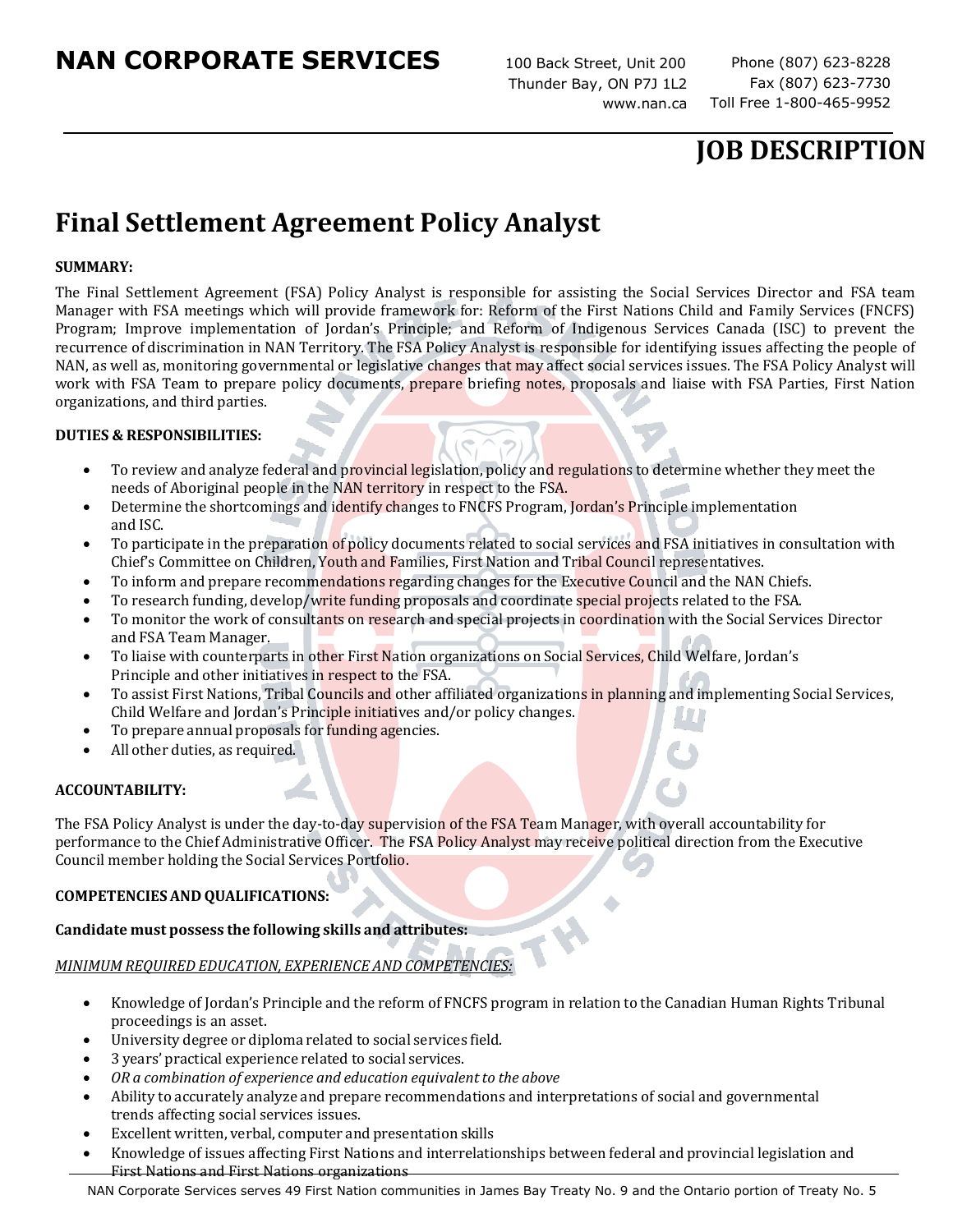100 Back Street, Unit 200 Thunder Bay, ON P7J 1L2 [www.nan.ca](http://www.nan.ca/)

Fax (807) 623-7730 Toll Free 1-800-465-9952

## **JOB DESCRIPTION**

# **Final Settlement Agreement Policy Analyst**

### **SUMMARY:**

The Final Settlement Agreement (FSA) Policy Analyst is responsible for assisting the Social Services Director and FSA team Manager with FSA meetings which will provide framework for: Reform of the First Nations Child and Family Services (FNCFS) Program; Improve implementation of Jordan's Principle; and Reform of Indigenous Services Canada (ISC) to prevent the recurrence of discrimination in NAN Territory. The FSA Policy Analyst is responsible for identifying issues affecting the people of NAN, as well as, monitoring governmental or legislative changes that may affect social services issues. The FSA Policy Analyst will work with FSA Team to prepare policy documents, prepare briefing notes, proposals and liaise with FSA Parties, First Nation organizations, and third parties.

#### **DUTIES & RESPONSIBILITIES:**

- To review and analyze federal and provincial legislation, policy and regulations to determine whether they meet the needs of Aboriginal people in the NAN territory in respect to the FSA.
- Determine the shortcomings and identify changes to FNCFS Program, Jordan's Principle implementation and ISC.
- To participate in the preparation of policy documents related to social services and FSA initiatives in consultation with Chief's Committee on Children, Youth and Families, First Nation and Tribal Council representatives.
- To inform and prepare recommendations regarding changes for the Executive Council and the NAN Chiefs.
- To research funding, develop/write funding proposals and coordinate special projects related to the FSA.
- To monitor the work of consultants on research and special projects in coordination with the Social Services Director and FSA Team Manager.
- To liaise with counterparts in other First Nation organizations on Social Services, Child Welfare, Jordan's Principle and other initiatives in respect to the FSA.
- To assist First Nations, Tribal Councils and other affiliated organizations in planning and implementing Social Services, Child Welfare and Jordan's Principle initiatives and/or policy changes.
- To prepare annual proposals for funding agencies.
- All other duties, as required.

#### **ACCOUNTABILITY:**

The FSA Policy Analyst is under the day-to-day supervision of the FSA Team Manager, with overall accountability for performance to the Chief Administrative Officer. The FSA Policy Analyst may receive political direction from the Executive Council member holding the Social Services Portfolio.

#### **COMPETENCIESAND QUALIFICATIONS:**

## **Candidate must possess the following skills and attributes:**

## *MINIMUM REQUIRED EDUCATION, EXPERIENCE AND COMPETENCIES:*

- Knowledge of Jordan's Principle and the reform of FNCFS program in relation to the Canadian Human Rights Tribunal proceedings is an asset.
- University degree or diploma related to social services field.
- 3 years' practical experience related to social services.
- *OR a combination of experience and education equivalent to the above*
- Ability to accurately analyze and prepare recommendations and interpretations of social and governmental trends affecting social services issues.
- Excellent written, verbal, computer and presentation skills
- Knowledge of issues affecting First Nations and interrelationships between federal and provincial legislation and First Nations and First Nations organizations

NAN Corporate Services serves 49 First Nation communities in James Bay Treaty No. 9 and the Ontario portion of Treaty No. 5